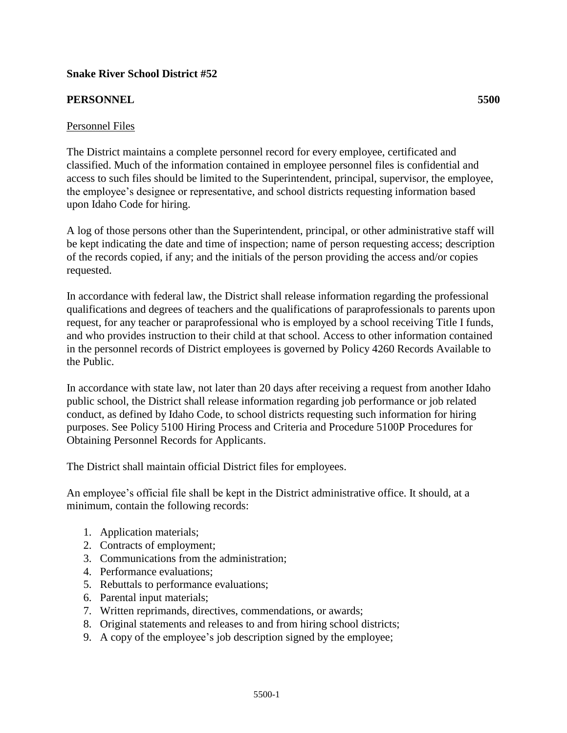# **Snake River School District #52**

### **PERSONNEL 5500**

### Personnel Files

The District maintains a complete personnel record for every employee, certificated and classified. Much of the information contained in employee personnel files is confidential and access to such files should be limited to the Superintendent, principal, supervisor, the employee, the employee's designee or representative, and school districts requesting information based upon Idaho Code for hiring.

A log of those persons other than the Superintendent, principal, or other administrative staff will be kept indicating the date and time of inspection; name of person requesting access; description of the records copied, if any; and the initials of the person providing the access and/or copies requested.

In accordance with federal law, the District shall release information regarding the professional qualifications and degrees of teachers and the qualifications of paraprofessionals to parents upon request, for any teacher or paraprofessional who is employed by a school receiving Title I funds, and who provides instruction to their child at that school. Access to other information contained in the personnel records of District employees is governed by Policy 4260 Records Available to the Public.

In accordance with state law, not later than 20 days after receiving a request from another Idaho public school, the District shall release information regarding job performance or job related conduct, as defined by Idaho Code, to school districts requesting such information for hiring purposes. See Policy 5100 Hiring Process and Criteria and Procedure 5100P Procedures for Obtaining Personnel Records for Applicants.

The District shall maintain official District files for employees.

An employee's official file shall be kept in the District administrative office. It should, at a minimum, contain the following records:

- 1. Application materials;
- 2. Contracts of employment;
- 3. Communications from the administration;
- 4. Performance evaluations;
- 5. Rebuttals to performance evaluations;
- 6. Parental input materials;
- 7. Written reprimands, directives, commendations, or awards;
- 8. Original statements and releases to and from hiring school districts;
- 9. A copy of the employee's job description signed by the employee;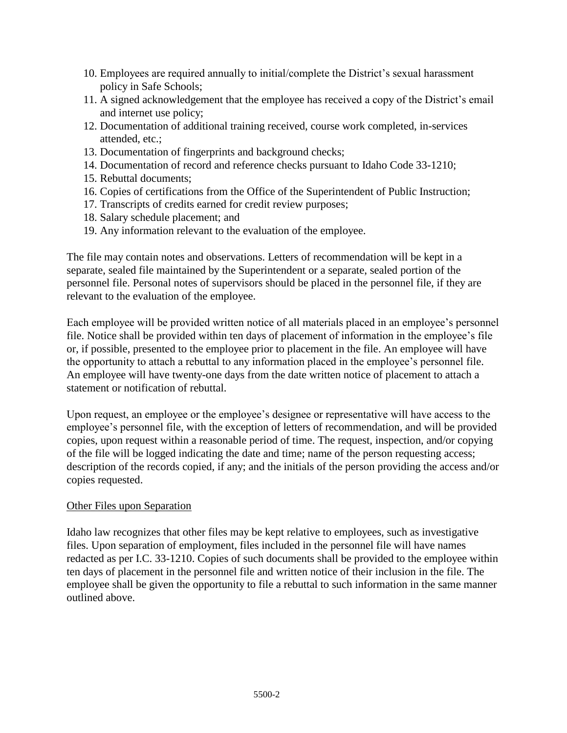- 10. Employees are required annually to initial/complete the District's sexual harassment policy in Safe Schools;
- 11. A signed acknowledgement that the employee has received a copy of the District's email and internet use policy;
- 12. Documentation of additional training received, course work completed, in-services attended, etc.;
- 13. Documentation of fingerprints and background checks;
- 14. Documentation of record and reference checks pursuant to Idaho Code 33-1210;
- 15. Rebuttal documents;
- 16. Copies of certifications from the Office of the Superintendent of Public Instruction;
- 17. Transcripts of credits earned for credit review purposes;
- 18. Salary schedule placement; and
- 19. Any information relevant to the evaluation of the employee.

The file may contain notes and observations. Letters of recommendation will be kept in a separate, sealed file maintained by the Superintendent or a separate, sealed portion of the personnel file. Personal notes of supervisors should be placed in the personnel file, if they are relevant to the evaluation of the employee.

Each employee will be provided written notice of all materials placed in an employee's personnel file. Notice shall be provided within ten days of placement of information in the employee's file or, if possible, presented to the employee prior to placement in the file. An employee will have the opportunity to attach a rebuttal to any information placed in the employee's personnel file. An employee will have twenty-one days from the date written notice of placement to attach a statement or notification of rebuttal.

Upon request, an employee or the employee's designee or representative will have access to the employee's personnel file, with the exception of letters of recommendation, and will be provided copies, upon request within a reasonable period of time. The request, inspection, and/or copying of the file will be logged indicating the date and time; name of the person requesting access; description of the records copied, if any; and the initials of the person providing the access and/or copies requested.

#### Other Files upon Separation

Idaho law recognizes that other files may be kept relative to employees, such as investigative files. Upon separation of employment, files included in the personnel file will have names redacted as per I.C. 33-1210. Copies of such documents shall be provided to the employee within ten days of placement in the personnel file and written notice of their inclusion in the file. The employee shall be given the opportunity to file a rebuttal to such information in the same manner outlined above.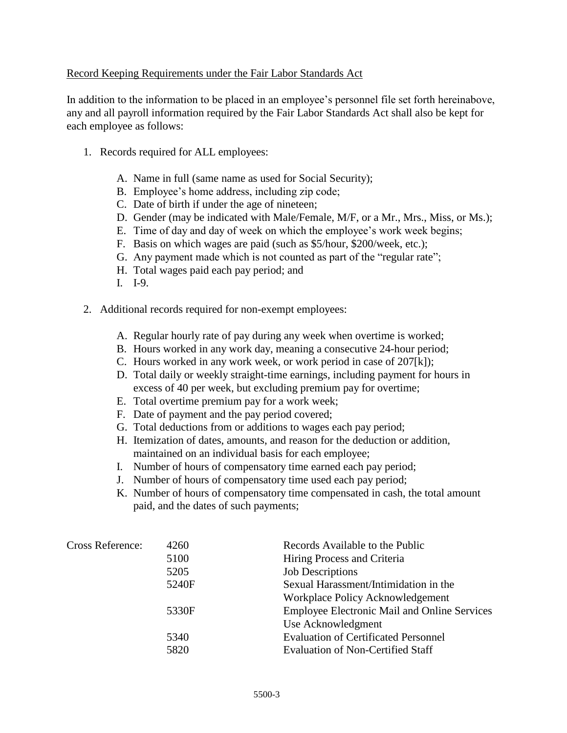## Record Keeping Requirements under the Fair Labor Standards Act

In addition to the information to be placed in an employee's personnel file set forth hereinabove, any and all payroll information required by the Fair Labor Standards Act shall also be kept for each employee as follows:

- 1. Records required for ALL employees:
	- A. Name in full (same name as used for Social Security);
	- B. Employee's home address, including zip code;
	- C. Date of birth if under the age of nineteen;
	- D. Gender (may be indicated with Male/Female, M/F, or a Mr., Mrs., Miss, or Ms.);
	- E. Time of day and day of week on which the employee's work week begins;
	- F. Basis on which wages are paid (such as \$5/hour, \$200/week, etc.);
	- G. Any payment made which is not counted as part of the "regular rate";
	- H. Total wages paid each pay period; and
	- I. I-9.
- 2. Additional records required for non-exempt employees:
	- A. Regular hourly rate of pay during any week when overtime is worked;
	- B. Hours worked in any work day, meaning a consecutive 24-hour period;
	- C. Hours worked in any work week, or work period in case of 207[k]);
	- D. Total daily or weekly straight-time earnings, including payment for hours in excess of 40 per week, but excluding premium pay for overtime;
	- E. Total overtime premium pay for a work week;
	- F. Date of payment and the pay period covered;
	- G. Total deductions from or additions to wages each pay period;
	- H. Itemization of dates, amounts, and reason for the deduction or addition, maintained on an individual basis for each employee;
	- I. Number of hours of compensatory time earned each pay period;
	- J. Number of hours of compensatory time used each pay period;
	- K. Number of hours of compensatory time compensated in cash, the total amount paid, and the dates of such payments;

| Cross Reference: | 4260  | Records Available to the Public                     |
|------------------|-------|-----------------------------------------------------|
|                  | 5100  | Hiring Process and Criteria                         |
|                  | 5205  | <b>Job Descriptions</b>                             |
|                  | 5240F | Sexual Harassment/Intimidation in the               |
|                  |       | Workplace Policy Acknowledgement                    |
|                  | 5330F | <b>Employee Electronic Mail and Online Services</b> |
|                  |       | Use Acknowledgment                                  |
|                  | 5340  | <b>Evaluation of Certificated Personnel</b>         |
|                  | 5820  | <b>Evaluation of Non-Certified Staff</b>            |